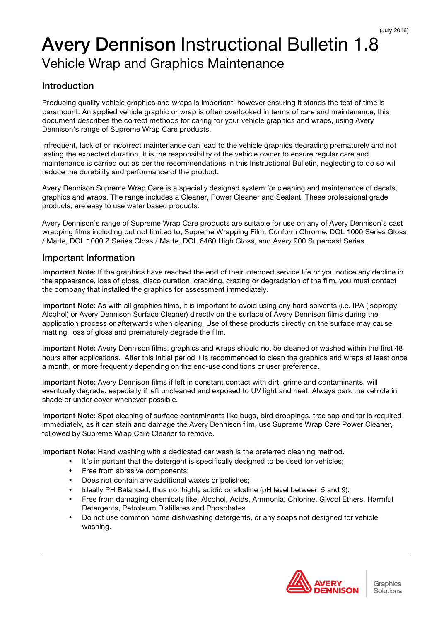# Avery Dennison Instructional Bulletin 1.8 Vehicle Wrap and Graphics Maintenance

# Introduction

Producing quality vehicle graphics and wraps is important; however ensuring it stands the test of time is paramount. An applied vehicle graphic or wrap is often overlooked in terms of care and maintenance, this document describes the correct methods for caring for your vehicle graphics and wraps, using Avery Dennison's range of Supreme Wrap Care products.

Infrequent, lack of or incorrect maintenance can lead to the vehicle graphics degrading prematurely and not lasting the expected duration. It is the responsibility of the vehicle owner to ensure regular care and maintenance is carried out as per the recommendations in this Instructional Bulletin, neglecting to do so will reduce the durability and performance of the product.

Avery Dennison Supreme Wrap Care is a specially designed system for cleaning and maintenance of decals, graphics and wraps. The range includes a Cleaner, Power Cleaner and Sealant. These professional grade products, are easy to use water based products.

Avery Dennison's range of Supreme Wrap Care products are suitable for use on any of Avery Dennison's cast wrapping films including but not limited to; Supreme Wrapping Film, Conform Chrome, DOL 1000 Series Gloss / Matte, DOL 1000 Z Series Gloss / Matte, DOL 6460 High Gloss, and Avery 900 Supercast Series.

## Important Information

Important Note: If the graphics have reached the end of their intended service life or you notice any decline in the appearance, loss of gloss, discolouration, cracking, crazing or degradation of the film, you must contact the company that installed the graphics for assessment immediately.

Important Note: As with all graphics films, it is important to avoid using any hard solvents (i.e. IPA (Isopropyl Alcohol) or Avery Dennison Surface Cleaner) directly on the surface of Avery Dennison films during the application process or afterwards when cleaning. Use of these products directly on the surface may cause matting, loss of gloss and prematurely degrade the film.

Important Note: Avery Dennison films, graphics and wraps should not be cleaned or washed within the first 48 hours after applications. After this initial period it is recommended to clean the graphics and wraps at least once a month, or more frequently depending on the end-use conditions or user preference.

Important Note: Avery Dennison films if left in constant contact with dirt, grime and contaminants, will eventually degrade, especially if left uncleaned and exposed to UV light and heat. Always park the vehicle in shade or under cover whenever possible.

Important Note: Spot cleaning of surface contaminants like bugs, bird droppings, tree sap and tar is required immediately, as it can stain and damage the Avery Dennison film, use Supreme Wrap Care Power Cleaner, followed by Supreme Wrap Care Cleaner to remove.

Important Note: Hand washing with a dedicated car wash is the preferred cleaning method.

- It's important that the detergent is specifically designed to be used for vehicles;
- Free from abrasive components;
- Does not contain any additional waxes or polishes;
- Ideally PH Balanced, thus not highly acidic or alkaline (pH level between 5 and 9);
- Free from damaging chemicals like: Alcohol, Acids, Ammonia, Chlorine, Glycol Ethers, Harmful Detergents, Petroleum Distillates and Phosphates
- Do not use common home dishwashing detergents, or any soaps not designed for vehicle washing.

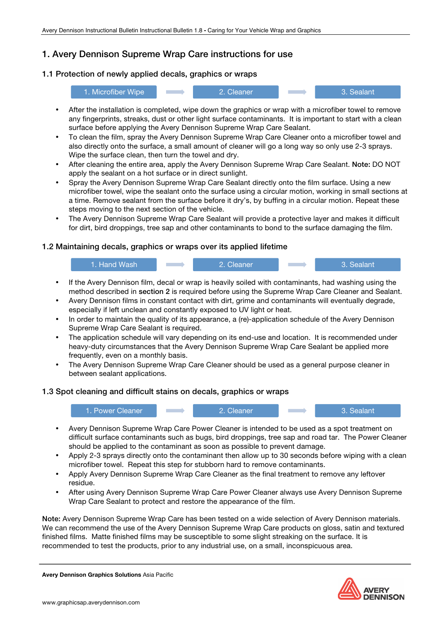# 1. Avery Dennison Supreme Wrap Care instructions for use

## 1.1 Protection of newly applied decals, graphics or wraps



- After the installation is completed, wipe down the graphics or wrap with a microfiber towel to remove any fingerprints, streaks, dust or other light surface contaminants. It is important to start with a clean surface before applying the Avery Dennison Supreme Wrap Care Sealant.
- To clean the film, spray the Avery Dennison Supreme Wrap Care Cleaner onto a microfiber towel and also directly onto the surface, a small amount of cleaner will go a long way so only use 2-3 sprays. Wipe the surface clean, then turn the towel and dry.
- After cleaning the entire area, apply the Avery Dennison Supreme Wrap Care Sealant. Note: DO NOT apply the sealant on a hot surface or in direct sunlight.
- Spray the Avery Dennison Supreme Wrap Care Sealant directly onto the film surface. Using a new microfiber towel, wipe the sealant onto the surface using a circular motion, working in small sections at a time. Remove sealant from the surface before it dry's, by buffing in a circular motion. Repeat these steps moving to the next section of the vehicle.
- The Avery Dennison Supreme Wrap Care Sealant will provide a protective layer and makes it difficult for dirt, bird droppings, tree sap and other contaminants to bond to the surface damaging the film.

#### 1.2 Maintaining decals, graphics or wraps over its applied lifetime



- If the Avery Dennison film, decal or wrap is heavily soiled with contaminants, had washing using the method described in section 2 is required before using the Supreme Wrap Care Cleaner and Sealant.
- Avery Dennison films in constant contact with dirt, grime and contaminants will eventually degrade, especially if left unclean and constantly exposed to UV light or heat.
- In order to maintain the quality of its appearance, a (re)-application schedule of the Avery Dennison Supreme Wrap Care Sealant is required.
- The application schedule will vary depending on its end-use and location. It is recommended under heavy-duty circumstances that the Avery Dennison Supreme Wrap Care Sealant be applied more frequently, even on a monthly basis.
- The Avery Dennison Supreme Wrap Care Cleaner should be used as a general purpose cleaner in between sealant applications.

#### 1.3 Spot cleaning and difficult stains on decals, graphics or wraps



- Avery Dennison Supreme Wrap Care Power Cleaner is intended to be used as a spot treatment on difficult surface contaminants such as bugs, bird droppings, tree sap and road tar. The Power Cleaner should be applied to the contaminant as soon as possible to prevent damage.
- Apply 2-3 sprays directly onto the contaminant then allow up to 30 seconds before wiping with a clean microfiber towel. Repeat this step for stubborn hard to remove contaminants.
- Apply Avery Dennison Supreme Wrap Care Cleaner as the final treatment to remove any leftover residue.
- After using Avery Dennison Supreme Wrap Care Power Cleaner always use Avery Dennison Supreme Wrap Care Sealant to protect and restore the appearance of the film.

Note: Avery Dennison Supreme Wrap Care has been tested on a wide selection of Avery Dennison materials. We can recommend the use of the Avery Dennison Supreme Wrap Care products on gloss, satin and textured finished films. Matte finished films may be susceptible to some slight streaking on the surface. It is recommended to test the products, prior to any industrial use, on a small, inconspicuous area.

Avery Dennison Graphics Solutions Asia Pacific

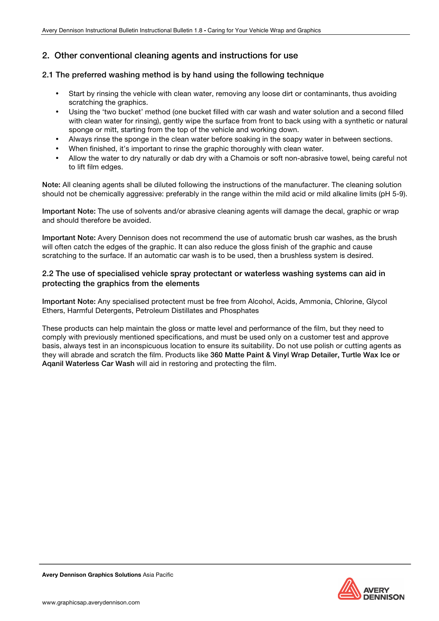## 2. Other conventional cleaning agents and instructions for use

#### 2.1 The preferred washing method is by hand using the following technique

- Start by rinsing the vehicle with clean water, removing any loose dirt or contaminants, thus avoiding scratching the graphics.
- Using the 'two bucket' method (one bucket filled with car wash and water solution and a second filled with clean water for rinsing), gently wipe the surface from front to back using with a synthetic or natural sponge or mitt, starting from the top of the vehicle and working down.
- Always rinse the sponge in the clean water before soaking in the soapy water in between sections.
- When finished, it's important to rinse the graphic thoroughly with clean water.
- Allow the water to dry naturally or dab dry with a Chamois or soft non-abrasive towel, being careful not to lift film edges.

Note: All cleaning agents shall be diluted following the instructions of the manufacturer. The cleaning solution should not be chemically aggressive: preferably in the range within the mild acid or mild alkaline limits (pH 5-9).

Important Note: The use of solvents and/or abrasive cleaning agents will damage the decal, graphic or wrap and should therefore be avoided.

Important Note: Avery Dennison does not recommend the use of automatic brush car washes, as the brush will often catch the edges of the graphic. It can also reduce the gloss finish of the graphic and cause scratching to the surface. If an automatic car wash is to be used, then a brushless system is desired.

#### 2.2 The use of specialised vehicle spray protectant or waterless washing systems can aid in protecting the graphics from the elements

Important Note: Any specialised protectent must be free from Alcohol, Acids, Ammonia, Chlorine, Glycol Ethers, Harmful Detergents, Petroleum Distillates and Phosphates

These products can help maintain the gloss or matte level and performance of the film, but they need to comply with previously mentioned specifications, and must be used only on a customer test and approve basis, always test in an inconspicuous location to ensure its suitability. Do not use polish or cutting agents as they will abrade and scratch the film. Products like 360 Matte Paint & Vinyl Wrap Detailer, Turtle Wax Ice or Aqanil Waterless Car Wash will aid in restoring and protecting the film.

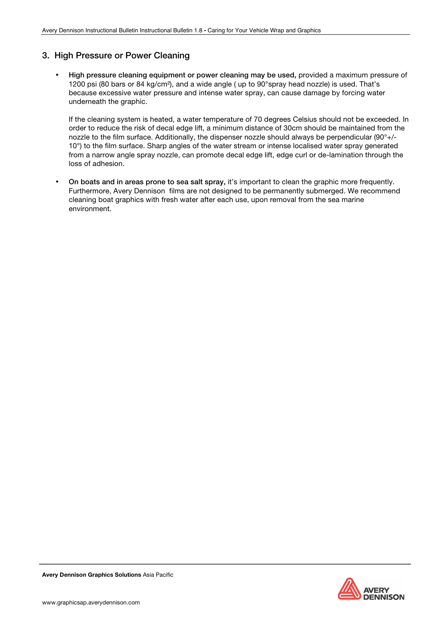## 3. High Pressure or Power Cleaning

• High pressure cleaning equipment or power cleaning may be used, provided a maximum pressure of 1200 psi (80 bars or 84 kg/cm²), and a wide angle ( up to 90°spray head nozzle) is used. That's because excessive water pressure and intense water spray, can cause damage by forcing water underneath the graphic.

If the cleaning system is heated, a water temperature of 70 degrees Celsius should not be exceeded. In order to reduce the risk of decal edge lift, a minimum distance of 30cm should be maintained from the nozzle to the film surface. Additionally, the dispenser nozzle should always be perpendicular (90°+/- 10°) to the film surface. Sharp angles of the water stream or intense localised water spray generated from a narrow angle spray nozzle, can promote decal edge lift, edge curl or de-lamination through the loss of adhesion.

• On boats and in areas prone to sea salt spray, it's important to clean the graphic more frequently. Furthermore, Avery Dennison films are not designed to be permanently submerged. We recommend cleaning boat graphics with fresh water after each use, upon removal from the sea marine environment.